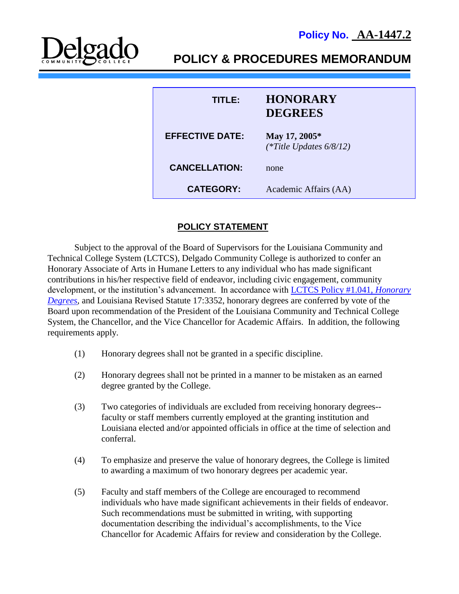

**POLICY & PROCEDURES MEMORANDUM**

| TITLE:                 | <b>HONORARY</b><br><b>DEGREES</b>           |
|------------------------|---------------------------------------------|
| <b>EFFECTIVE DATE:</b> | May 17, 2005*<br>(*Title Updates $6/8/12$ ) |
| <b>CANCELLATION:</b>   | none                                        |
| <b>CATEGORY:</b>       | Academic Affairs (AA)                       |

## **POLICY STATEMENT**

Subject to the approval of the Board of Supervisors for the Louisiana Community and Technical College System (LCTCS), Delgado Community College is authorized to confer an Honorary Associate of Arts in Humane Letters to any individual who has made significant contributions in his/her respective field of endeavor, including civic engagement, community development, or the institution's advancement. In accordance with [LCTCS Policy #1.041,](http://www.lctcs.edu/assets/docs/FinanceAndAdministration/1.041.pdf) *Honorary [Degrees,](http://www.lctcs.edu/assets/docs/FinanceAndAdministration/1.041.pdf)* and Louisiana Revised Statute 17:3352, honorary degrees are conferred by vote of the Board upon recommendation of the President of the Louisiana Community and Technical College System, the Chancellor, and the Vice Chancellor for Academic Affairs. In addition, the following requirements apply.

- (1) Honorary degrees shall not be granted in a specific discipline.
- (2) Honorary degrees shall not be printed in a manner to be mistaken as an earned degree granted by the College.
- (3) Two categories of individuals are excluded from receiving honorary degrees- faculty or staff members currently employed at the granting institution and Louisiana elected and/or appointed officials in office at the time of selection and conferral.
- (4) To emphasize and preserve the value of honorary degrees, the College is limited to awarding a maximum of two honorary degrees per academic year.
- (5) Faculty and staff members of the College are encouraged to recommend individuals who have made significant achievements in their fields of endeavor. Such recommendations must be submitted in writing, with supporting documentation describing the individual's accomplishments, to the Vice Chancellor for Academic Affairs for review and consideration by the College.